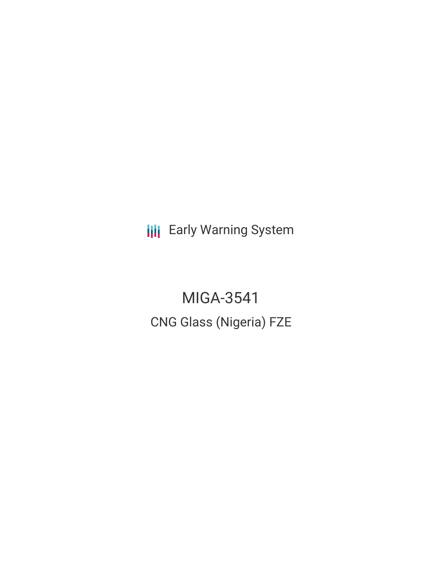**III** Early Warning System

MIGA-3541 CNG Glass (Nigeria) FZE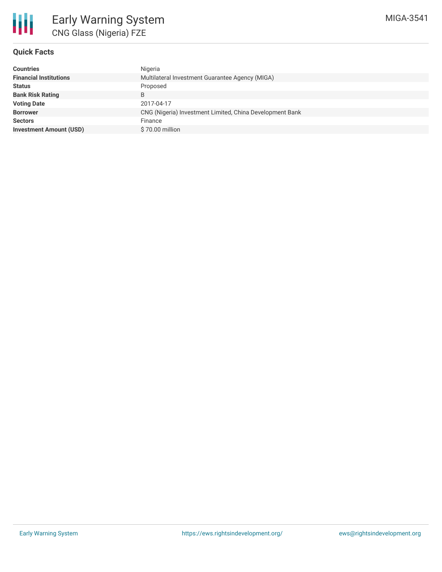# **Quick Facts**

| <b>Countries</b>               | Nigeria                                                  |
|--------------------------------|----------------------------------------------------------|
| <b>Financial Institutions</b>  | Multilateral Investment Guarantee Agency (MIGA)          |
| <b>Status</b>                  | Proposed                                                 |
| <b>Bank Risk Rating</b>        |                                                          |
| <b>Voting Date</b>             | 2017-04-17                                               |
| <b>Borrower</b>                | CNG (Nigeria) Investment Limited, China Development Bank |
| <b>Sectors</b>                 | Finance                                                  |
| <b>Investment Amount (USD)</b> | \$70.00 million                                          |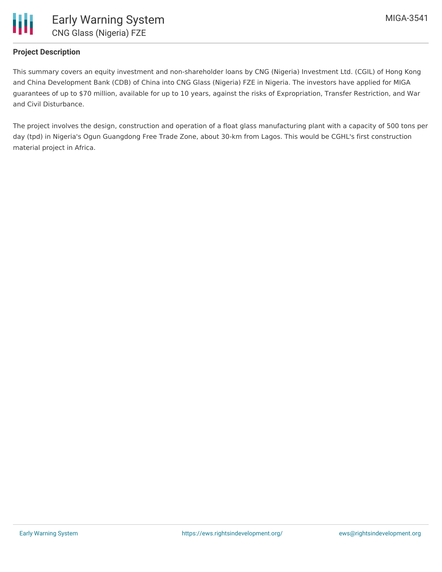

# **Project Description**

This summary covers an equity investment and non-shareholder loans by CNG (Nigeria) Investment Ltd. (CGIL) of Hong Kong and China Development Bank (CDB) of China into CNG Glass (Nigeria) FZE in Nigeria. The investors have applied for MIGA guarantees of up to \$70 million, available for up to 10 years, against the risks of Expropriation, Transfer Restriction, and War and Civil Disturbance.

The project involves the design, construction and operation of a float glass manufacturing plant with a capacity of 500 tons per day (tpd) in Nigeria's Ogun Guangdong Free Trade Zone, about 30-km from Lagos. This would be CGHL's first construction material project in Africa.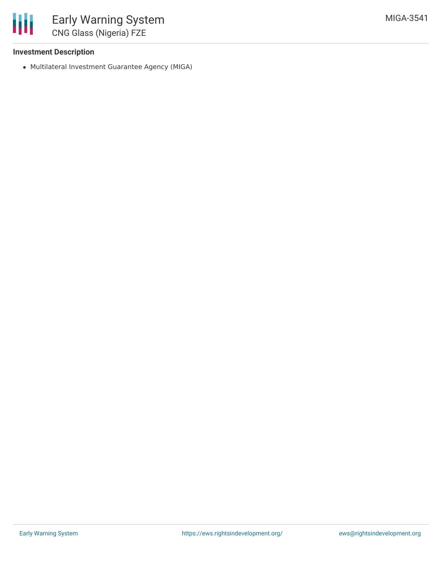#### **Investment Description**

冊

Multilateral Investment Guarantee Agency (MIGA)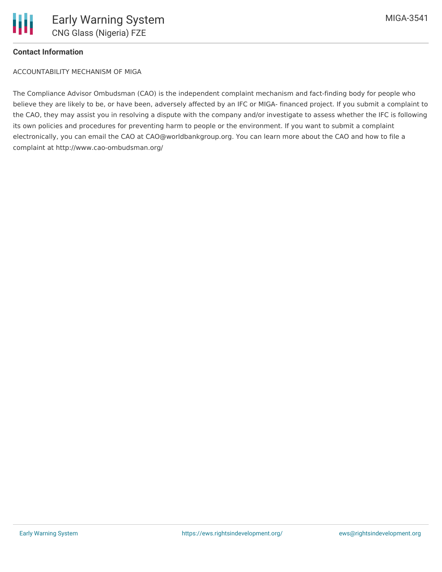### **Contact Information**

ACCOUNTABILITY MECHANISM OF MIGA

The Compliance Advisor Ombudsman (CAO) is the independent complaint mechanism and fact-finding body for people who believe they are likely to be, or have been, adversely affected by an IFC or MIGA- financed project. If you submit a complaint to the CAO, they may assist you in resolving a dispute with the company and/or investigate to assess whether the IFC is following its own policies and procedures for preventing harm to people or the environment. If you want to submit a complaint electronically, you can email the CAO at CAO@worldbankgroup.org. You can learn more about the CAO and how to file a complaint at http://www.cao-ombudsman.org/